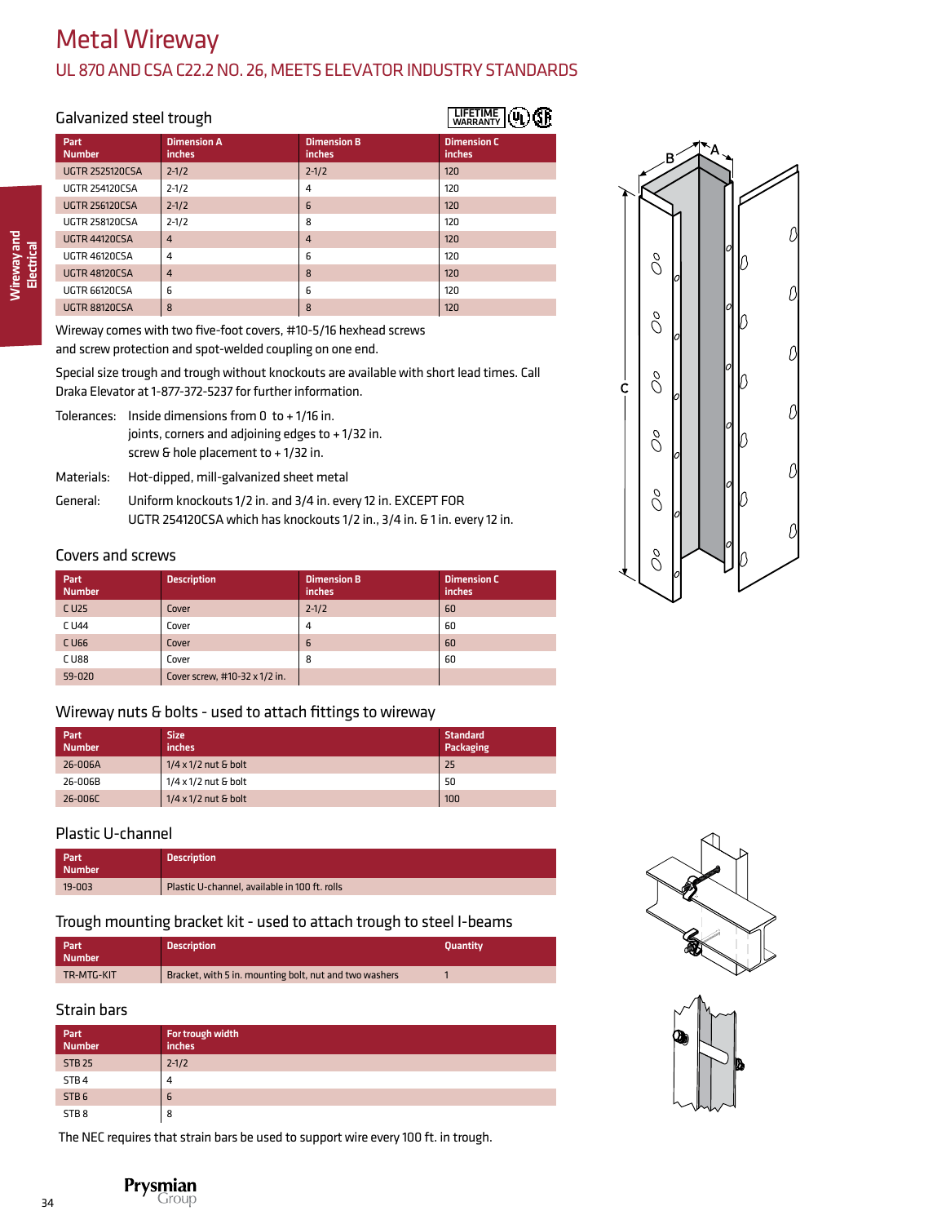# Metal Wireway

### UL 870 AND CSA C22.2 NO. 26, MEETS ELEVATOR INDUSTRY STANDARDS

| Galvanized steel trough | <b>LIFETIME</b><br><b>WARRANTY</b> |                              |                              |
|-------------------------|------------------------------------|------------------------------|------------------------------|
| Part<br><b>Number</b>   | <b>Dimension A</b><br>inches       | <b>Dimension B</b><br>inches | <b>Dimension C</b><br>inches |
| <b>UGTR 2525120CSA</b>  | $2 - 1/2$                          | $2 - 1/2$                    | 120                          |
| <b>UGTR 254120CSA</b>   | $2 - 1/2$                          | 4                            | 120                          |
| <b>UGTR 256120CSA</b>   | $2 - 1/2$                          | $\overline{6}$               | 120                          |
| <b>UGTR 258120CSA</b>   | $2 - 1/2$                          | 8                            | 120                          |
| <b>UGTR 44120CSA</b>    | $\overline{4}$                     | $\overline{4}$               | 120                          |
| <b>UGTR 46120CSA</b>    | 4                                  | 6                            | 120                          |
| <b>UGTR 48120CSA</b>    | $\overline{4}$                     | 8                            | 120                          |
| UGTR 66120CSA           | 6                                  | 6                            | 120                          |
| UGTR 88120CSA           | 8                                  | 8                            | 120                          |

Wireway and Wireway and<br>Electrical

> Wireway comes with two five-foot covers, #10-5/16 hexhead screws and screw protection and spot-welded coupling on one end.

Special size trough and trough without knockouts are available with short lead times. Call Draka Elevator at 1-877-372-5237 for further information.

Tolerances: Inside dimensions from 0 to + 1/16 in. joints, corners and adjoining edges to + 1/32 in. screw & hole placement to + 1/32 in.

Materials: Hot-dipped, mill-galvanized sheet metal General: Uniform knockouts 1/2 in. and 3/4 in. every 12 in. EXCEPT FOR UGTR 254120CSA which has knockouts 1/2 in., 3/4 in. & 1 in. every 12 in.

#### Covers and screws

| Part<br><b>Number</b> | <b>Description</b>            | <b>Dimension B</b><br>inches | <b>Dimension C</b><br>inches |
|-----------------------|-------------------------------|------------------------------|------------------------------|
| C U <sub>25</sub>     | Cover                         | $2 - 1/2$                    | 60                           |
| C U44                 | Cover                         | 4                            | 60                           |
| C U66                 | Cover                         | 6                            | 60                           |
| <b>CU88</b>           | Cover                         | 8                            | 60                           |
| 59-020                | Cover screw, #10-32 x 1/2 in. |                              |                              |

#### Wireway nuts & bolts - used to attach fittings to wireway

| Part<br><b>Number</b> | <b>Size</b><br>inches       | <b>Standard</b><br>Packaging |
|-----------------------|-----------------------------|------------------------------|
| 26-006A               | $1/4 \times 1/2$ nut & bolt | 25                           |
| 26-006B               | $1/4 \times 1/2$ nut & bolt | 50                           |
| 26-006C               | $1/4 \times 1/2$ nut & bolt | 100                          |

#### Plastic U-channel

| Part<br>Number | <b>Description</b>                            |
|----------------|-----------------------------------------------|
| 19-003         | Plastic U-channel, available in 100 ft. rolls |

#### Trough mounting bracket kit - used to attach trough to steel I-beams

| Part<br><b>Number</b> | <b>Description</b>                                     | <b>Ouantity</b> |
|-----------------------|--------------------------------------------------------|-----------------|
| TR-MTG-KIT            | Bracket, with 5 in. mounting bolt, nut and two washers |                 |

#### Strain bars

| Part <sup> </sup><br>  Number | For trough width<br>inches |
|-------------------------------|----------------------------|
| <b>STB 25</b>                 | $2 - 1/2$                  |
| STB <sub>4</sub>              | 4                          |
| STB <sub>6</sub>              | 6                          |
| STB8                          | 8                          |

The NEC requires that strain bars be used to support wire every 100 ft. in trough.







34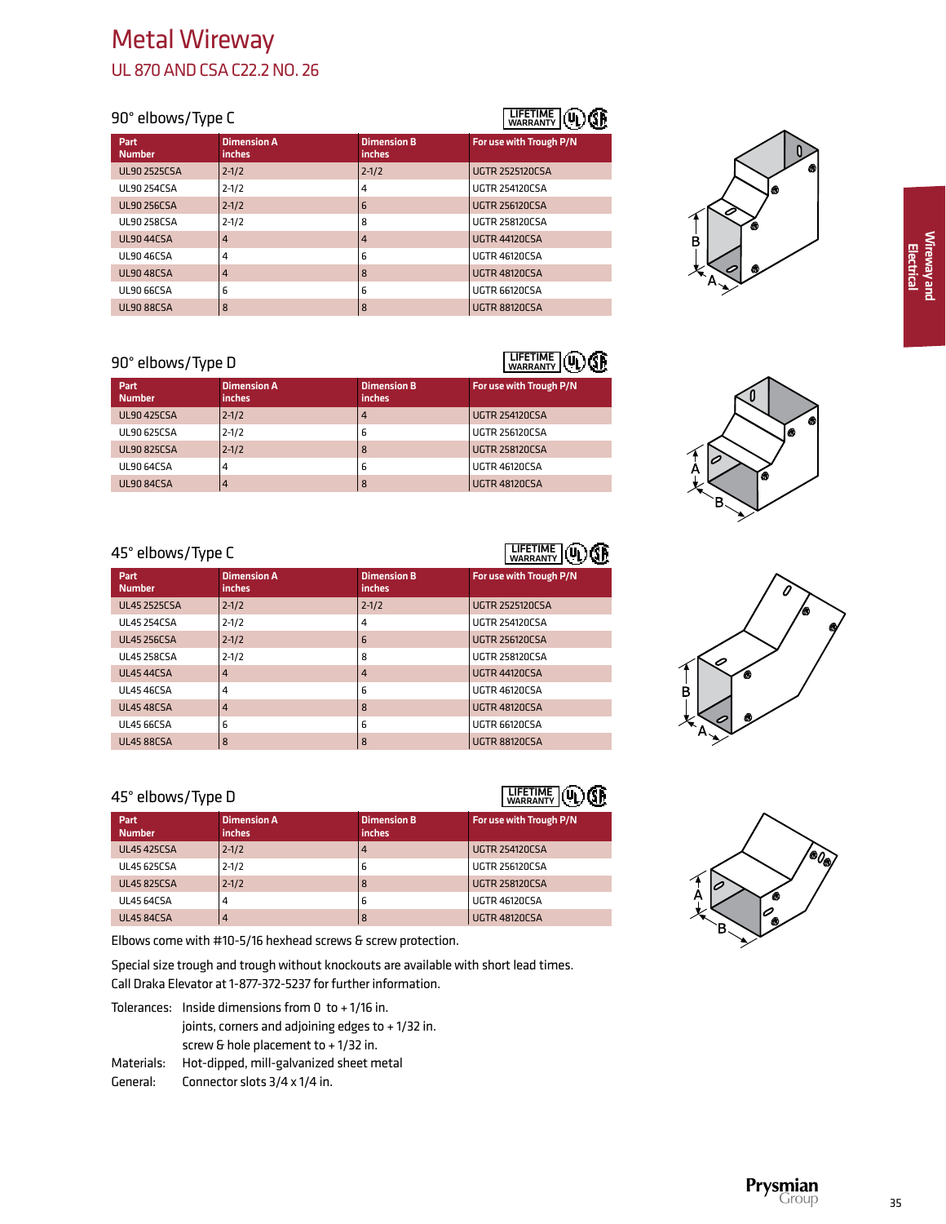#### 90° elbows/Type C

| Part<br><b>Number</b> | <b>Dimension A</b><br><i>inches</i> | <b>Dimension B</b><br>inches | For use with Trough P/N |
|-----------------------|-------------------------------------|------------------------------|-------------------------|
| <b>UL90 2525CSA</b>   | $2 - 1/2$                           | $2 - 1/2$                    | <b>UGTR 2525120CSA</b>  |
| <b>UL90 254CSA</b>    | $2 - 1/2$                           | 4                            | <b>UGTR 254120CSA</b>   |
| <b>UL90 256CSA</b>    | $2 - 1/2$                           | 6                            | <b>UGTR 256120CSA</b>   |
| <b>UL90 258CSA</b>    | $2 - 1/2$                           | 8                            | <b>UGTR 258120CSA</b>   |
| <b>UL90 44CSA</b>     | $\overline{4}$                      | 4                            | <b>UGTR 44120CSA</b>    |
| <b>UL90 46CSA</b>     | 4                                   | 6                            | <b>UGTR 46120CSA</b>    |
| <b>UL9048CSA</b>      | $\overline{4}$                      | 8                            | <b>UGTR 48120CSA</b>    |
| UL90 66CSA            | 6                                   | 6                            | UGTR 66120CSA           |
| <b>UL9088CSA</b>      | 8                                   | 8                            | <b>UGTR 88120CSA</b>    |

#### 90° elbows/Type D

| 90° elbows/Type D     | <b>LIFETIME</b><br><b>WARRANTY</b>  |                              |                         |
|-----------------------|-------------------------------------|------------------------------|-------------------------|
| Part<br><b>Number</b> | <b>Dimension A</b><br><i>inches</i> | <b>Dimension B</b><br>inches | For use with Trough P/N |
| <b>UL90 425CSA</b>    | $2 - 1/2$                           | 4                            | <b>UGTR 254120CSA</b>   |
| <b>UL90 625CSA</b>    | $2 - 1/2$                           | 6                            | <b>UGTR 256120CSA</b>   |
| <b>UL90 825CSA</b>    | $2 - 1/2$                           | 8                            | <b>UGTR 258120CSA</b>   |
| UL90 64CSA            | 4                                   | 6                            | <b>UGTR 46120CSA</b>    |
| <b>UL90 84CSA</b>     | 4                                   | 8                            | <b>UGTR 48120CSA</b>    |

#### 45° elbows/Type C

| 45° elbows/Type C     |                              |                              | <b>LIFETIME</b><br><b>WARRANTY</b> |
|-----------------------|------------------------------|------------------------------|------------------------------------|
| Part<br><b>Number</b> | <b>Dimension A</b><br>inches | <b>Dimension B</b><br>inches | For use with Trough P/N            |
| <b>UL45 2525CSA</b>   | $2 - 1/2$                    | $2 - 1/2$                    | <b>UGTR 2525120CSA</b>             |
| <b>UL45 254CSA</b>    | $2 - 1/2$                    | 4                            | <b>UGTR 254120CSA</b>              |
| <b>UL45 256CSA</b>    | $2 - 1/2$                    | 6                            | <b>UGTR 256120CSA</b>              |
| <b>UL45 258CSA</b>    | $2 - 1/2$                    | 8                            | <b>UGTR 258120CSA</b>              |
| <b>UL45 44CSA</b>     | $\overline{4}$               | 4                            | <b>UGTR 44120CSA</b>               |
| <b>UL4546CSA</b>      | 4                            | 6                            | <b>UGTR 46120CSA</b>               |
| <b>UL45 48CSA</b>     | $\overline{4}$               | 8                            | <b>UGTR 48120CSA</b>               |
| <b>UL45 66CSA</b>     | 6                            | 6                            | UGTR 66120CSA                      |
| <b>UL45 88CSA</b>     | 8                            | 8                            | <b>UGTR 88120CSA</b>               |

# 45° elbows/Type D

| 45° elbows/Type D     |                                     |                                     | <b>LIFETIME</b><br>WARRANTY |
|-----------------------|-------------------------------------|-------------------------------------|-----------------------------|
| Part<br><b>Number</b> | <b>Dimension A</b><br><i>inches</i> | <b>Dimension B</b><br><i>inches</i> | For use with Trough P/N     |
| <b>UL45 425CSA</b>    | $2 - 1/2$                           | $\overline{4}$                      | <b>UGTR 254120CSA</b>       |
| <b>UL45 625CSA</b>    | $2 - 1/2$                           | 6                                   | <b>UGTR 256120CSA</b>       |
| <b>UL45 825CSA</b>    | $2 - 1/2$                           | 8                                   | <b>UGTR 258120CSA</b>       |
| UL45 64CSA            | 4                                   | 6                                   | <b>UGTR 46120CSA</b>        |
| <b>UL45 84CSA</b>     | 4                                   | 8                                   | <b>UGTR 48120CSA</b>        |

Elbows come with #10-5/16 hexhead screws & screw protection.

Special size trough and trough without knockouts are available with short lead times. Call Draka Elevator at 1-877-372-5237 for further information.

- Tolerances: Inside dimensions from 0 to + 1/16 in. joints, corners and adjoining edges to + 1/32 in. screw & hole placement to + 1/32 in.
- Materials: Hot-dipped, mill-galvanized sheet metal
- General: Connector slots 3/4 x 1/4 in.

# LIFETIME WARRANTY







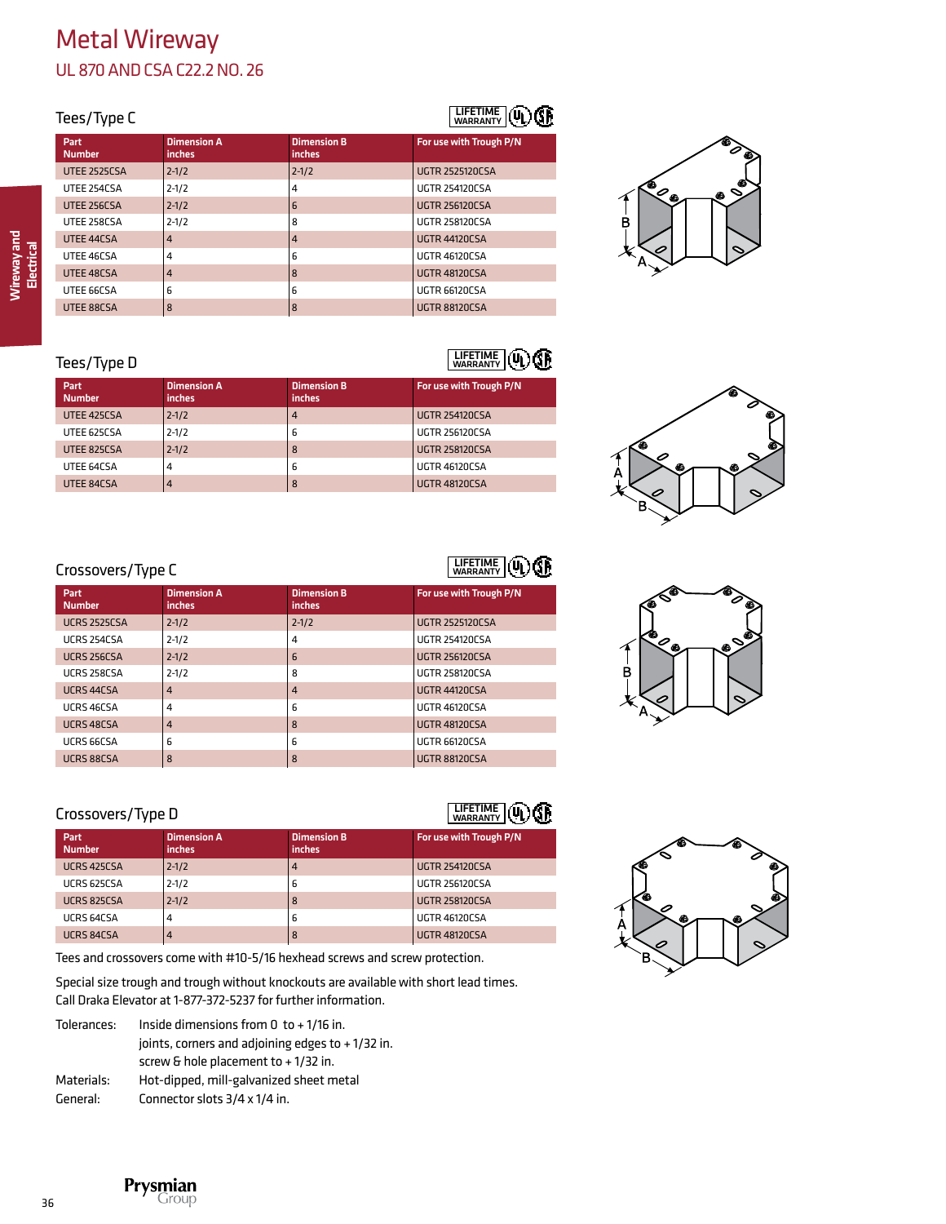| Tees/Type C |                       |                              |                              | WADDANTY (UL) (SP       |
|-------------|-----------------------|------------------------------|------------------------------|-------------------------|
|             | Part<br><b>Number</b> | <b>Dimension A</b><br>inches | <b>Dimension B</b><br>inches | For use with Trough P/N |
|             | <b>UTEE 2525CSA</b>   | $2 - 1/2$                    | $2 - 1/2$                    | <b>UGTR 2525120CSA</b>  |
|             | UTEE 254CSA           | $2 - 1/2$                    | 4                            | <b>UGTR 254120CSA</b>   |
|             | <b>UTEE 256CSA</b>    | $2 - 1/2$                    | 6                            | <b>UGTR 256120CSA</b>   |
|             | UTEE 258CSA           | $2 - 1/2$                    | 8                            | <b>UGTR 258120CSA</b>   |
|             | UTEE 44CSA            | 4                            | $\overline{4}$               | <b>UGTR 44120CSA</b>    |
|             | UTEE 46CSA            | 4                            | 6                            | <b>UGTR 46120CSA</b>    |
|             | UTEE 48CSA            | 4                            | 8                            | <b>UGTR 48120CSA</b>    |
|             | UTEE 66CSA            | 6                            | 6                            | UGTR 66120CSA           |
|             | UTEE 88CSA            | 8                            | 8                            | <b>UGTR 88120CSA</b>    |
|             |                       |                              |                              |                         |



#### Tees/Type D

**Part Dimension A** 

|                              | <b>LIFETIME</b> (V)     |
|------------------------------|-------------------------|
| <b>Dimension B</b><br>inches | For use with Trough P/N |
|                              | $ICTD$ $DE$ 4130 $CCA$  |

| <b>Number</b> | inches    | inches |                       |
|---------------|-----------|--------|-----------------------|
| UTEE 425CSA   | $2 - 1/2$ | 4      | <b>UGTR 254120CSA</b> |
| UTEE 625CSA   | $2 - 1/2$ | b      | <b>UGTR 256120CSA</b> |
| UTEE 825CSA   | $2 - 1/2$ | 8      | <b>UGTR 258120CSA</b> |
| UTEE 64CSA    | 4         | ь      | <b>UGTR 46120CSA</b>  |
| UTEE 84CSA    | 4         | 8      | <b>UGTR 48120CSA</b>  |
|               |           |        |                       |



# LIFETIME WARRANTY

LIFETIME L

Œ

| Part.<br><b>Number</b> | <b>Dimension A</b><br><i>inches</i> | <b>Dimension B</b><br>inches | For use with Trough P/N |
|------------------------|-------------------------------------|------------------------------|-------------------------|
| <b>UCRS 2525CSA</b>    | $2 - 1/2$                           | $2 - 1/2$                    | <b>UGTR 2525120CSA</b>  |
| UCRS 254CSA            | $2 - 1/2$                           | 4                            | <b>UGTR 254120CSA</b>   |
| UCRS 256CSA            | $2 - 1/2$                           | 6                            | <b>UGTR 256120CSA</b>   |
| UCRS 258CSA            | $2 - 1/2$                           | 8                            | <b>UGTR 258120CSA</b>   |
| UCRS 44CSA             | $\overline{4}$                      | $\overline{4}$               | <b>UGTR 44120CSA</b>    |
| UCRS 46CSA             | 4                                   | 6                            | <b>UGTR 46120CSA</b>    |
| UCRS 48CSA             | $\overline{4}$                      | 8                            | <b>UGTR 48120CSA</b>    |
| UCRS 66CSA             | 6                                   | 6                            | <b>UGTR 66120CSA</b>    |
| UCRS 88CSA             | 8                                   | 8                            | <b>UGTR 88120CSA</b>    |
|                        |                                     |                              |                         |

# Crossovers/Type D

| Part<br><b>Number</b> | <b>Dimension A</b><br><i>inches</i> | <b>Dimension B</b><br>inches | For use with Trough P/N |
|-----------------------|-------------------------------------|------------------------------|-------------------------|
| UCRS 425CSA           | $2 - 1/2$                           | 4                            | <b>UGTR 254120CSA</b>   |
| UCRS 625CSA           | $2 - 1/2$                           | 6                            | <b>UGTR 256120CSA</b>   |
| UCRS 825CSA           | $2 - 1/2$                           | 8                            | <b>UGTR 258120CSA</b>   |
| UCRS 64CSA            | 4                                   | 6                            | <b>UGTR 46120CSA</b>    |
| UCRS 84CSA            | 4                                   | 8                            | <b>UGTR 48120CSA</b>    |

Tees and crossovers come with #10-5/16 hexhead screws and screw protection.

Special size trough and trough without knockouts are available with short lead times. Call Draka Elevator at 1-877-372-5237 for further information.

| Tolerances: | Inside dimensions from $0$ to $+1/16$ in.        |  |
|-------------|--------------------------------------------------|--|
|             | joints, corners and adjoining edges to +1/32 in. |  |
|             | screw & hole placement to $+1/32$ in.            |  |
| Materials:  | Hot-dipped, mill-galvanized sheet metal          |  |
| General:    | Connector slots 3/4 x 1/4 in.                    |  |







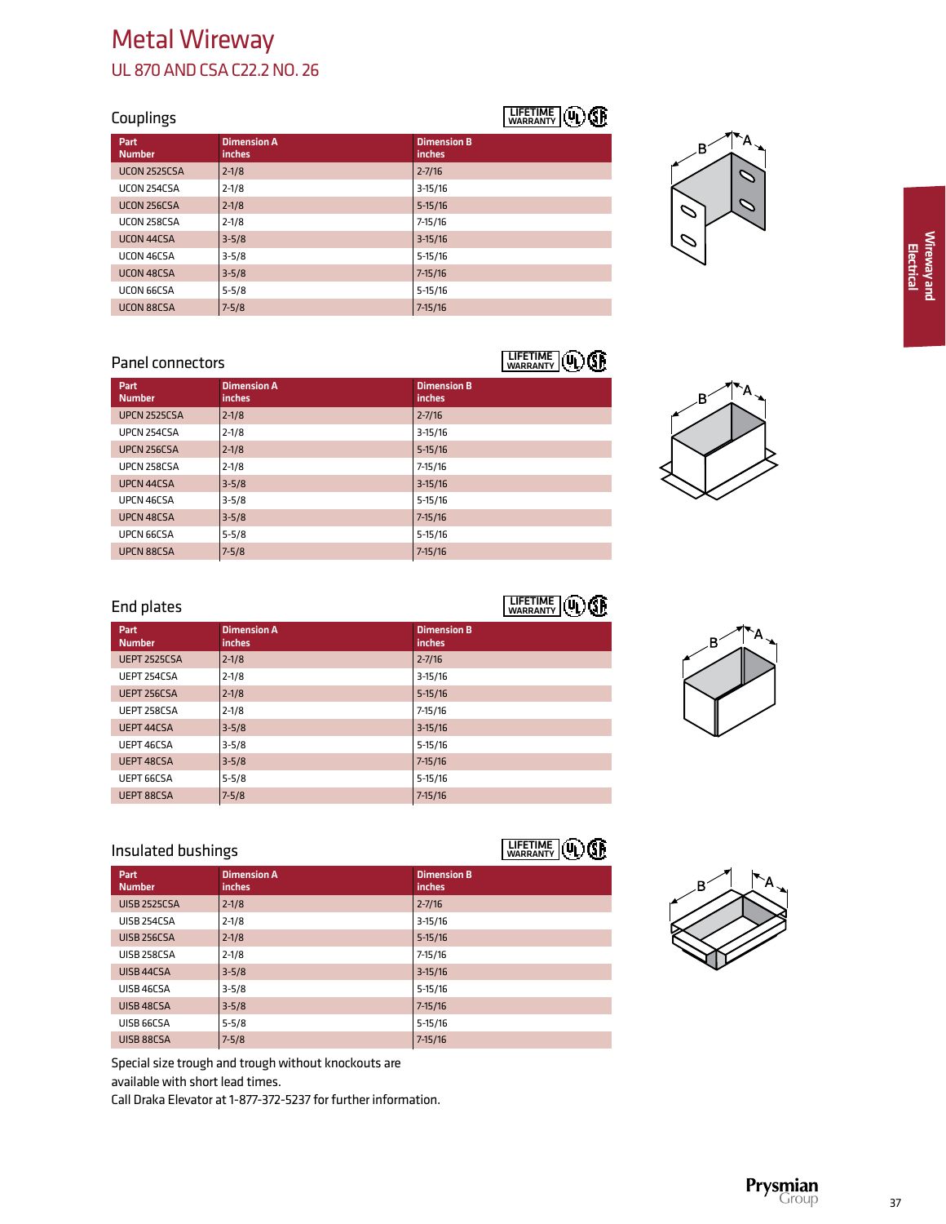#### Couplings

| Part<br><b>Number</b> | <b>Dimension A</b><br>inches | <b>Dimension B</b><br>inches |
|-----------------------|------------------------------|------------------------------|
| <b>UCON 2525CSA</b>   | $2 - 1/8$                    | $2 - 7/16$                   |
| UCON 254CSA           | $2 - 1/8$                    | $3 - 15/16$                  |
| UCON 256CSA           | $2 - 1/8$                    | $5 - 15/16$                  |
| UCON 258CSA           | $2 - 1/8$                    | $7 - 15/16$                  |
| UCON 44CSA            | $3 - 5/8$                    | $3 - 15/16$                  |
| UCON 46CSA            | $3 - 5/8$                    | $5 - 15/16$                  |
| UCON 48CSA            | $3 - 5/8$                    | $7 - 15/16$                  |
| UCON 66CSA            | $5 - 5/8$                    | $5 - 15/16$                  |
| UCON 88CSA            | $7 - 5/8$                    | $7 - 15/16$                  |



#### Panel connectors

#### Part Dimension A Dimension B Number inches inches UPCN 2525CSA 2-1/8 2-1/8 2-7/16 UPCN 254CSA 2-1/8 3-15/16 UPCN 256CSA 2-1/8 3.15/16 UPCN 258CSA 2-1/8 2002 2003 2004 2-15/16 UPCN 44CSA 3-5/8 3-15/16 UPCN 46CSA 3-5/8 5-15/16 UPCN 48CSA 3-5/8 7-15/16 UPCN 66CSA  $5-5/8$  5-15/16 UPCN 88CSA 7-5/8 7-15/16 LIFETIME WARRANTY



#### End plates

| End plates            | LIFETIME  <br>$\circledR$<br><b>WARRANTY</b> |                              |
|-----------------------|----------------------------------------------|------------------------------|
| Part<br><b>Number</b> | <b>Dimension A</b><br><i>inches</i>          | <b>Dimension B</b><br>inches |
| <b>UEPT 2525CSA</b>   | $2 - 1/8$                                    | $2 - 7/16$                   |
| UEPT 254CSA           | $2 - 1/8$                                    | $3 - 15/16$                  |
| UEPT 256CSA           | $2 - 1/8$                                    | $5 - 15/16$                  |
| UEPT 258CSA           | $2 - 1/8$                                    | $7 - 15/16$                  |
| UEPT 44CSA            | $3 - 5/8$                                    | $3 - 15/16$                  |
| UEPT 46CSA            | $3 - 5/8$                                    | $5 - 15/16$                  |
| UEPT 48CSA            | $3 - 5/8$                                    | $7 - 15/16$                  |
| UEPT 66CSA            | $5 - 5/8$                                    | $5 - 15/16$                  |
| <b>UEPT 88CSA</b>     | $7 - 5/8$                                    | $7 - 15/16$                  |

# R

## Insulated bushings

| Part<br><b>Number</b> | <b>Dimension A</b><br>inches | <b>Dimension B</b><br>inches |
|-----------------------|------------------------------|------------------------------|
| <b>UISB 2525CSA</b>   | $2 - 1/8$                    | $2 - 7/16$                   |
| UISB 254CSA           | $2 - 1/8$                    | $3-15/16$                    |
| <b>UISB 256CSA</b>    | $2 - 1/8$                    | $5 - 15/16$                  |
| UISB 258CSA           | $2 - 1/8$                    | $7 - 15/16$                  |
| UISB 44CSA            | $3 - 5/8$                    | $3-15/16$                    |
| UISB 46CSA            | $3 - 5/8$                    | $5 - 15/16$                  |
| UISB 48CSA            | $3 - 5/8$                    | $7 - 15/16$                  |
| UISB 66CSA            | $5 - 5/8$                    | $5 - 15/16$                  |
| UISB 88CSA            | $7 - 5/8$                    | $7 - 15/16$                  |

Special size trough and trough without knockouts are available with short lead times.

Call Draka Elevator at 1-877-372-5237 for further information.

# LIFETIME WARRANTY

LIFETIME WARRANTY